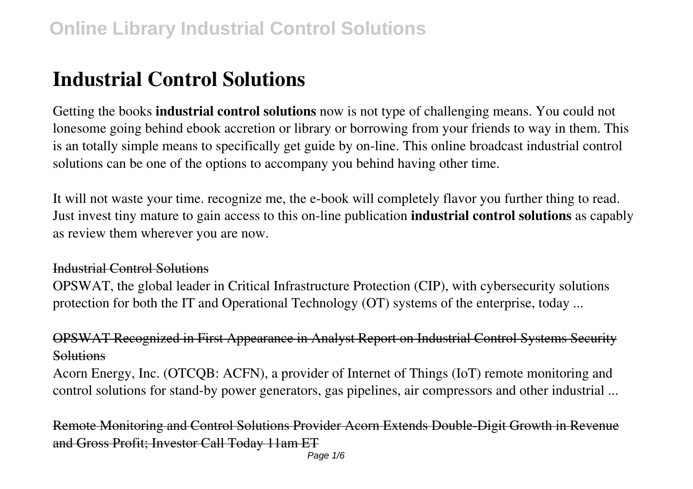### **Industrial Control Solutions**

Getting the books **industrial control solutions** now is not type of challenging means. You could not lonesome going behind ebook accretion or library or borrowing from your friends to way in them. This is an totally simple means to specifically get guide by on-line. This online broadcast industrial control solutions can be one of the options to accompany you behind having other time.

It will not waste your time. recognize me, the e-book will completely flavor you further thing to read. Just invest tiny mature to gain access to this on-line publication **industrial control solutions** as capably as review them wherever you are now.

#### Industrial Control Solutions

OPSWAT, the global leader in Critical Infrastructure Protection (CIP), with cybersecurity solutions protection for both the IT and Operational Technology (OT) systems of the enterprise, today ...

#### OPSWAT Recognized in First Appearance in Analyst Report on Industrial Control Systems Security **Solutions**

Acorn Energy, Inc. (OTCQB: ACFN), a provider of Internet of Things (IoT) remote monitoring and control solutions for stand-by power generators, gas pipelines, air compressors and other industrial ...

Remote Monitoring and Control Solutions Provider Acorn Extends Double-Digit Growth in Revenue and Gross Profit; Investor Call Today 11am ET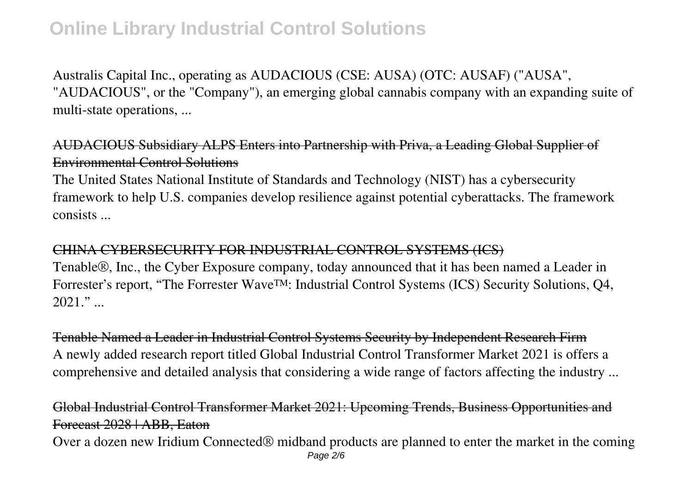Australis Capital Inc., operating as AUDACIOUS (CSE: AUSA) (OTC: AUSAF) ("AUSA", "AUDACIOUS", or the "Company"), an emerging global cannabis company with an expanding suite of multi-state operations, ...

AUDACIOUS Subsidiary ALPS Enters into Partnership with Priva, a Leading Global Supplier of Environmental Control Solutions

The United States National Institute of Standards and Technology (NIST) has a cybersecurity framework to help U.S. companies develop resilience against potential cyberattacks. The framework consists ...

#### CHINA CYBERSECURITY FOR INDUSTRIAL CONTROL SYSTEMS (ICS)

Tenable®, Inc., the Cyber Exposure company, today announced that it has been named a Leader in Forrester's report, "The Forrester Wave™: Industrial Control Systems (ICS) Security Solutions, Q4,  $2021$ ."

Tenable Named a Leader in Industrial Control Systems Security by Independent Research Firm A newly added research report titled Global Industrial Control Transformer Market 2021 is offers a comprehensive and detailed analysis that considering a wide range of factors affecting the industry ...

#### Global Industrial Control Transformer Market 2021: Upcoming Trends, Business Opportunities and Forecast 2028 | ABB, Eaton

Over a dozen new Iridium Connected® midband products are planned to enter the market in the coming Page 2/6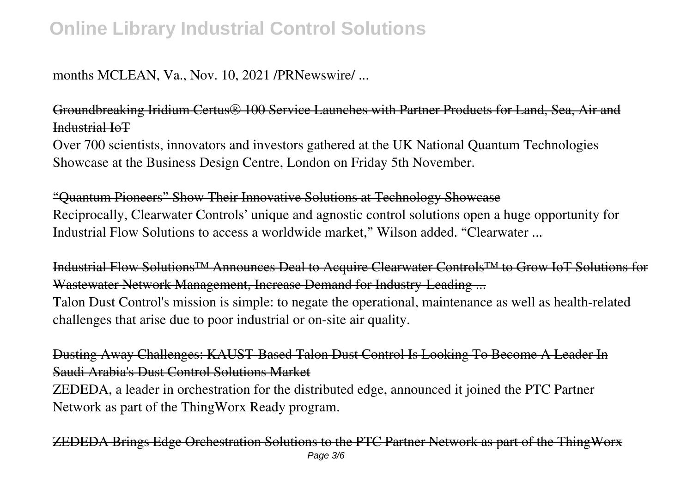#### months MCLEAN, Va., Nov. 10, 2021 /PRNewswire/ ...

Groundbreaking Iridium Certus® 100 Service Launches with Partner Products for Land, Sea, Air and Industrial IoT

Over 700 scientists, innovators and investors gathered at the UK National Quantum Technologies Showcase at the Business Design Centre, London on Friday 5th November.

"Quantum Pioneers" Show Their Innovative Solutions at Technology Showcase Reciprocally, Clearwater Controls' unique and agnostic control solutions open a huge opportunity for Industrial Flow Solutions to access a worldwide market," Wilson added. "Clearwater ...

Industrial Flow Solutions™ Announces Deal to Acquire Clearwater Controls™ to Grow IoT Solutions for Wastewater Network Management, Increase Demand for Industry-Leading ... Talon Dust Control's mission is simple: to negate the operational, maintenance as well as health-related challenges that arise due to poor industrial or on-site air quality.

Dusting Away Challenges: KAUST-Based Talon Dust Control Is Looking To Become A Leader In Saudi Arabia's Dust Control Solutions Market

ZEDEDA, a leader in orchestration for the distributed edge, announced it joined the PTC Partner Network as part of the ThingWorx Ready program.

 $\overline{E}$ DEDA Brings Edge Orchestration Solutions to the PTC Partner Network as part of the ThingWorx Page 3/6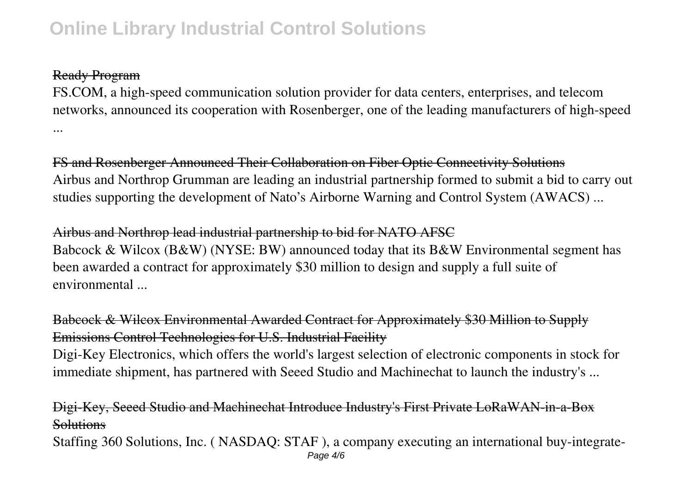#### Ready Program

FS.COM, a high-speed communication solution provider for data centers, enterprises, and telecom networks, announced its cooperation with Rosenberger, one of the leading manufacturers of high-speed ...

FS and Rosenberger Announced Their Collaboration on Fiber Optic Connectivity Solutions Airbus and Northrop Grumman are leading an industrial partnership formed to submit a bid to carry out studies supporting the development of Nato's Airborne Warning and Control System (AWACS) ...

Airbus and Northrop lead industrial partnership to bid for NATO AFSC Babcock & Wilcox (B&W) (NYSE: BW) announced today that its B&W Environmental segment has been awarded a contract for approximately \$30 million to design and supply a full suite of environmental ...

Babcock & Wilcox Environmental Awarded Contract for Approximately \$30 Million to Supply Emissions Control Technologies for U.S. Industrial Facility

Digi-Key Electronics, which offers the world's largest selection of electronic components in stock for immediate shipment, has partnered with Seeed Studio and Machinechat to launch the industry's ...

Digi-Key, Seeed Studio and Machinechat Introduce Industry's First Private LoRaWAN-in-a-Box **Solutions** 

Staffing 360 Solutions, Inc. ( NASDAQ: STAF ), a company executing an international buy-integrate-Page 4/6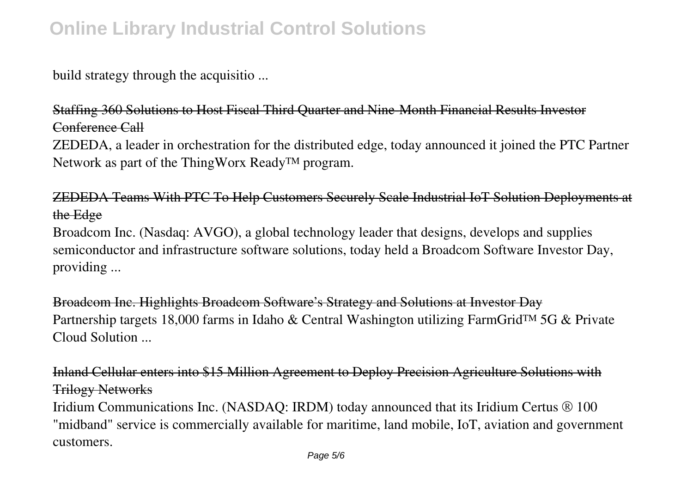build strategy through the acquisitio ...

Staffing 360 Solutions to Host Fiscal Third Quarter and Nine-Month Financial Results Investor Conference Call

ZEDEDA, a leader in orchestration for the distributed edge, today announced it joined the PTC Partner Network as part of the ThingWorx Ready™ program.

ZEDEDA Teams With PTC To Help Customers Securely Scale Industrial IoT Solution Deployments at the Edge

Broadcom Inc. (Nasdaq: AVGO), a global technology leader that designs, develops and supplies semiconductor and infrastructure software solutions, today held a Broadcom Software Investor Day, providing ...

Broadcom Inc. Highlights Broadcom Software's Strategy and Solutions at Investor Day Partnership targets 18,000 farms in Idaho & Central Washington utilizing FarmGrid™ 5G & Private Cloud Solution ...

Inland Cellular enters into \$15 Million Agreement to Deploy Precision Agriculture Solutions with Trilogy Networks

Iridium Communications Inc. (NASDAQ: IRDM) today announced that its Iridium Certus ® 100 "midband" service is commercially available for maritime, land mobile, IoT, aviation and government customers.